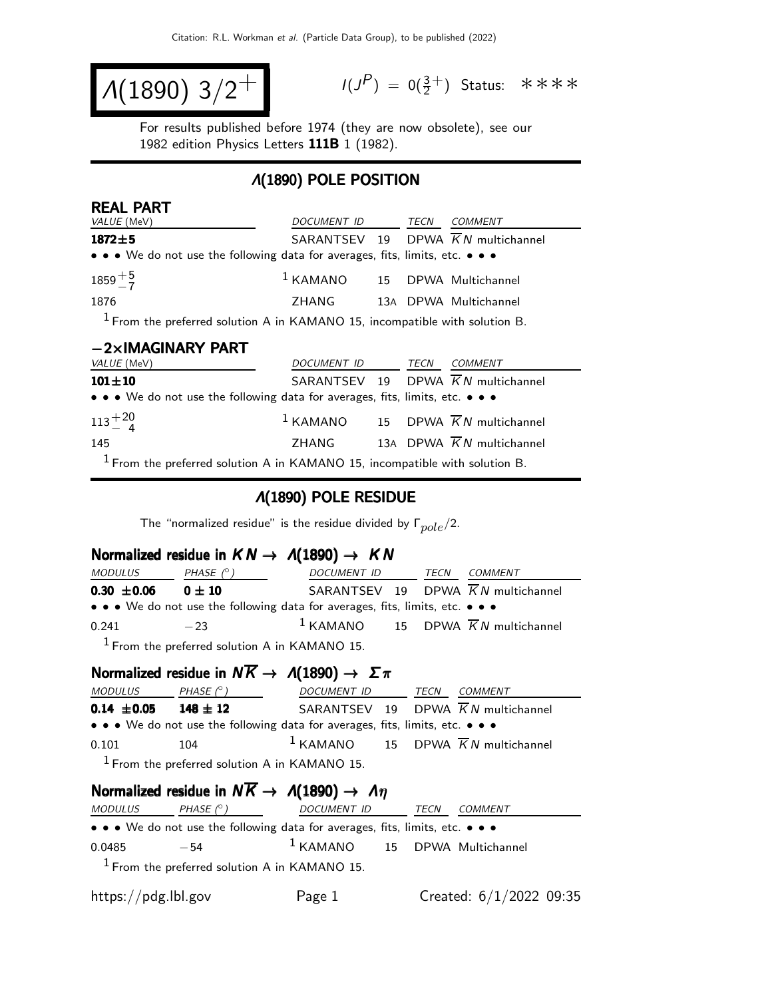$$
\Lambda(1890) 3/2^+ \qquad \qquad ^{\frac{1}{3}}
$$

REAL PART

 $(P) = 0(\frac{3}{2}^+)$  Status: \*\*\*\*

For results published before 1974 (they are now obsolete), see our 1982 edition Physics Letters 111B 1 (1982).

### Λ(1890) POLE POSITION

| KEAL PAR I<br>VALUE (MeV)                                                     | DOCUMENT ID TECN                         |  | <b>COMMENT</b>                                           |
|-------------------------------------------------------------------------------|------------------------------------------|--|----------------------------------------------------------|
| $1872 + 5$                                                                    |                                          |  | SARANTSEV 19 DPWA $\overline{K}N$ multichannel           |
| • • • We do not use the following data for averages, fits, limits, etc. • • • |                                          |  |                                                          |
| $1859 + 5$                                                                    | <sup>1</sup> KAMANO 15 DPWA Multichannel |  |                                                          |
| 1876                                                                          | ZHANG 13A DPWA Multichannel              |  |                                                          |
| $1$ From the preferred solution A in KAMANO 15, incompatible with solution B. |                                          |  |                                                          |
| $-2\times$ IMAGINARY PART                                                     |                                          |  |                                                          |
| VALUE (MeV)                                                                   | DOCUMENT ID TECN                         |  | COMMENT                                                  |
| $101 \pm 10$                                                                  |                                          |  | SARANTSEV 19 DPWA $\overline{K}N$ multichannel           |
| • • • We do not use the following data for averages, fits, limits, etc. • • • |                                          |  |                                                          |
| $113 + 20$                                                                    |                                          |  | <sup>1</sup> KAMANO 15 DPWA $\overline{K}N$ multichannel |

| 145 | ZHANG |  | 13A DPWA K N multichannel |
|-----|-------|--|---------------------------|
|     |       |  |                           |

 $1$  From the preferred solution A in KAMANO 15, incompatible with solution B.

#### Λ(1890) POLE RESIDUE

The "normalized residue" is the residue divided by  $\Gamma_{pole}/2$ .

### Normalized residue in  $KN \rightarrow \Lambda(1890) \rightarrow KN$

| <i>MODULUS</i>  | PHASE $(^\circ)$                                                              | DOCUMENT ID | TECN | <i>COMMENT</i>                                  |
|-----------------|-------------------------------------------------------------------------------|-------------|------|-------------------------------------------------|
| $0.30 \pm 0.06$ | $0 \pm 10$                                                                    |             |      | SARANTSEV 19 DPWA KN multichannel               |
|                 | • • • We do not use the following data for averages, fits, limits, etc. • • • |             |      |                                                 |
| 0.241           | $-23$                                                                         |             |      | $1$ KAMANO 15 DPWA $\overline{K}N$ multichannel |
|                 | $1$ From the preferred solution A in KAMANO 15.                               |             |      |                                                 |

### Normalized residue in  $N \overline{K} \rightarrow A(1890) \rightarrow \Sigma \pi$

| <b>MODULUS</b>  | PHASE $(^\circ)$ | DOCUMENT ID TECN                                                              |  | <i>COMMENT</i>                                  |
|-----------------|------------------|-------------------------------------------------------------------------------|--|-------------------------------------------------|
| $0.14 \pm 0.05$ | $148 \pm 12$     |                                                                               |  | SARANTSEV 19 DPWA $\overline{K}N$ multichannel  |
|                 |                  | • • • We do not use the following data for averages, fits, limits, etc. • • • |  |                                                 |
| 0.101           | 104              |                                                                               |  | $1$ KAMANO 15 DPWA $\overline{K}N$ multichannel |
|                 |                  | $1$ From the preferred solution A in KAMANO 15.                               |  |                                                 |

#### Normalized residue in  $N\overline{K} \rightarrow \Lambda(1890) \rightarrow \Lambda \eta$

| <b>MODULUS</b>      | PHASE $(^\circ)$ | <i>DOCUMENT ID</i>                                                            | TECN | COMMENT                   |  |
|---------------------|------------------|-------------------------------------------------------------------------------|------|---------------------------|--|
|                     |                  | • • • We do not use the following data for averages, fits, limits, etc. • • • |      |                           |  |
| 0.0485              | $-54$            | $1$ KAMANO $15$ DPWA Multichannel                                             |      |                           |  |
|                     |                  | $1$ From the preferred solution A in KAMANO 15.                               |      |                           |  |
| https://pdg.lbl.gov |                  | Page 1                                                                        |      | Created: $6/1/2022$ 09:35 |  |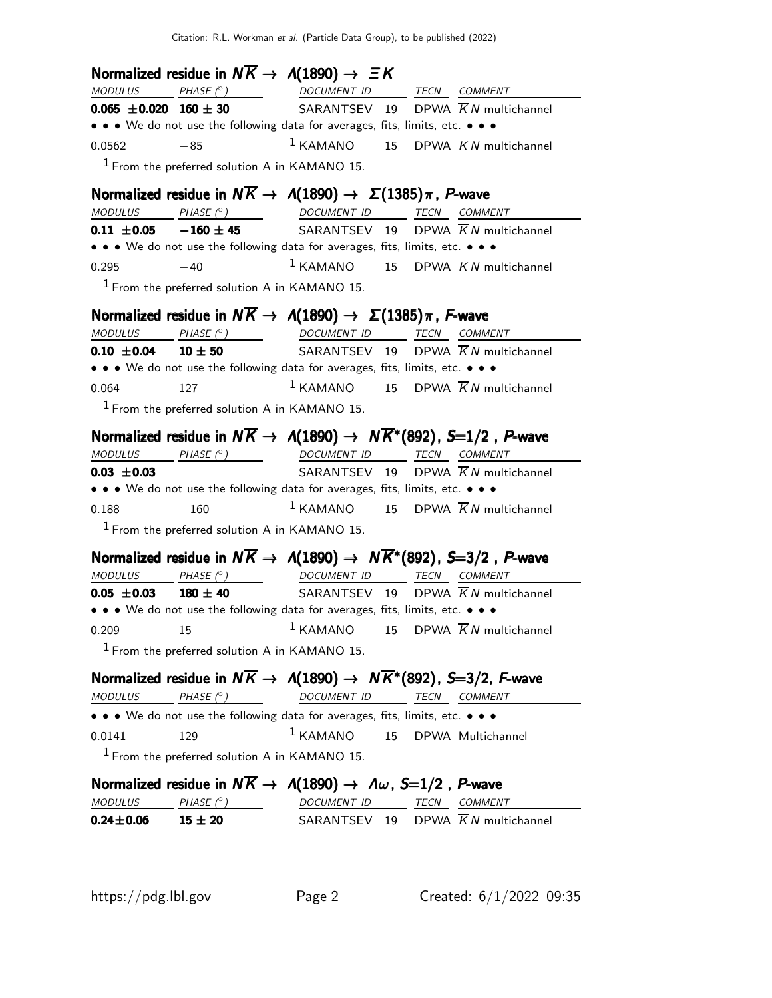Normalized residue in  $N\overline{K} \rightarrow A(1890) \rightarrow \Xi K$  $MODULUS$   $PHASE (°)$ DOCUMENT ID
TECN
COMMENT **0.065**  $\pm$ **0.020 160**  $\pm$  **30** SARANTSEV 19 DPWA  $\overline{K}N$  multichannel • • • We do not use the following data for averages, fits, limits, etc. • • • 0.0562  $-85$  1 KAMANO 15 DPWA  $\overline{K}N$  multichannel  $<sup>1</sup>$  From the preferred solution A in KAMANO 15.</sup> **Normalized residue in**  $N\overline{K} \rightarrow A(1890) \rightarrow \Sigma(1385)\pi$ **, P-wave**<br>MODULUS PHASE (°) DOCUMENT ID TECN COMMI DOCUMENT ID TECN COMMENT **0.11**  $\pm$ **0.05** -160  $\pm$  45 SARANTSEV 19 DPWA  $\overline{K}N$  multichannel • • • We do not use the following data for averages, fits, limits, etc. • • • 0.295  $-40$   $1 \text{KAMANO}$  15 DPWA  $\overline{K}N$  multichannel  $<sup>1</sup>$  From the preferred solution A in KAMANO 15.</sup> **Normalized residue in**  $N\overline{K} \rightarrow A(1890) \rightarrow \Sigma(1385)\pi$ **, F-wave**<br>MODULUS PHASE (°) DOCUMENT ID TECN COMM  $MODULUS$  PHASE  $(°)$ TECN COMMENT **0.10**  $\pm$ **0.04** 10  $\pm$  50 SARANTSEV 19 DPWA  $\overline{K}N$  multichannel • • • We do not use the following data for averages, fits, limits, etc. • • • 0.064 127 1 KAMANO 15 DPWA  $\overline{K}N$  multichannel  $<sup>1</sup>$  From the preferred solution A in KAMANO 15.</sup> Normalized residue in  $N\overline{K} \to A(1890) \to N\overline{K}^*(892)$ , S=1/2, P-wave MODULUS PHASE  $(°)$  DOCUMENT ID TECN COMMENT  $0.03 \pm 0.03$  SARANTSEV 19 DPWA  $\overline{K}N$  multichannel • • • We do not use the following data for averages, fits, limits, etc. • • • 0.188  $-160$  1 KAMANO 15 DPWA  $\overline{K}N$  multichannel  $<sup>1</sup>$  From the preferred solution A in KAMANO 15.</sup> Normalized residue in  $N\overline{K} \to A(1890) \to N\overline{K}^*(892)$ , S=3/2, P-wave MODULUS PHASE  $(°)$  DOCUMENT ID TECN COMMENT **0.05**  $\pm$ **0.03** 180  $\pm$  40 SARANTSEV 19 DPWA  $\overline{K}N$  multichannel • • • We do not use the following data for averages, fits, limits, etc. • • • 0.209 15  $15$  KAMANO 15 DPWA  $\overline{K}N$  multichannel  $<sup>1</sup>$  From the preferred solution A in KAMANO 15.</sup> Normalized residue in  $N\overline{K} \to A(1890) \to N\overline{K}^*(892)$ , S=3/2, F-wave MODULUS PHASE (°) DOCUMENT ID TECN COMMENT • • • We do not use the following data for averages, fits, limits, etc. • • • 0.0141 129 1 KAMANO 15 DPWA Multichannel  $<sup>1</sup>$  From the preferred solution A in KAMANO 15.</sup> Normalized residue in  $N\overline{K} \rightarrow \Lambda(1890) \rightarrow \Lambda \omega$ , S=1/2, P-wave  $MODULUS$  PHASE  $(°)$ ) DOCUMENT ID TECN COMMENT  $0.24 \pm 0.06$  15  $\pm$  20 SARANTSEV 19 DPWA  $\overline{K}N$  multichannel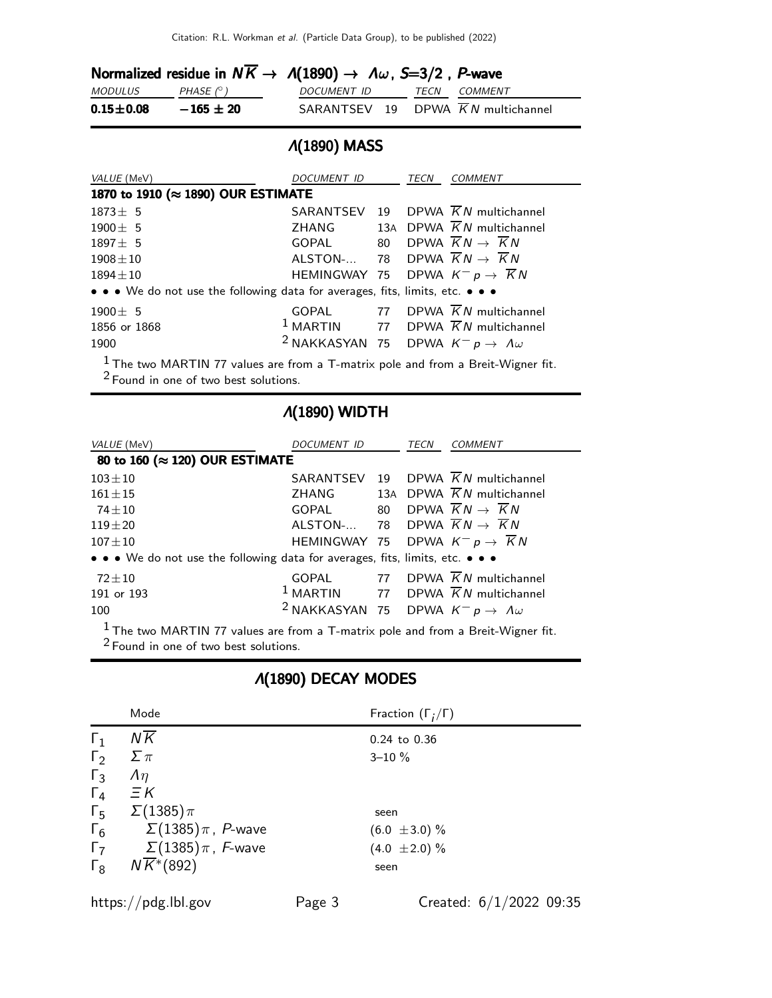|                 |               | Normalized residue in $N\overline{K} \to \Lambda(1890) \to \Lambda \omega$ , S=3/2, P-wave |  |
|-----------------|---------------|--------------------------------------------------------------------------------------------|--|
| <i>MODULUS</i>  | PHASE (° )    | DOCUMENT ID TECN COMMENT                                                                   |  |
| $0.15 \pm 0.08$ | $-165 \pm 20$ | SARANTSEV 19 DPWA $\overline{K}N$ multichannel                                             |  |

### Λ(1890) MASS

| VALUE (MeV)                                                                       | DOCUMENT ID                                                       | TECN | <b>COMMENT</b>                                           |
|-----------------------------------------------------------------------------------|-------------------------------------------------------------------|------|----------------------------------------------------------|
| 1870 to 1910 (≈ 1890) OUR ESTIMATE                                                |                                                                   |      |                                                          |
| $1873 \pm 5$                                                                      |                                                                   |      | SARANTSEV 19 DPWA $\overline{K}N$ multichannel           |
| $1900 \pm 5$                                                                      | ZHANG                                                             |      | 13A DPWA $\overline{K}N$ multichannel                    |
| $1897 \pm 5$                                                                      | GOPAL 80 DPWA $\overline{K}N \rightarrow \overline{K}N$           |      |                                                          |
| $1908 \pm 10$                                                                     | ALSTON- 78 DPWA $\overline{K}N \rightarrow \overline{K}N$         |      |                                                          |
| $1894 \pm 10$                                                                     | HEMINGWAY 75 DPWA $K^- p \rightarrow \overline{K} N$              |      |                                                          |
| • • • We do not use the following data for averages, fits, limits, etc. • • •     |                                                                   |      |                                                          |
| $1900 \pm 5$                                                                      |                                                                   |      | GOPAL 77 DPWA $\overline{K}N$ multichannel               |
| 1856 or 1868                                                                      |                                                                   |      | <sup>1</sup> MARTIN 77 DPWA $\overline{K}N$ multichannel |
| 1900                                                                              | <sup>2</sup> NAKKASYAN 75 DPWA $K^- p \rightarrow \Lambda \omega$ |      |                                                          |
| $1$ The two MADTIN 77 values are from a T matrix pole and from a Broit Wigner fit |                                                                   |      |                                                          |

1 The two MARTIN 77 values are from a T-matrix pole and from a Breit-Wigner fit. 2 Found in one of two best solutions.

# Λ(1890) WIDTH

| VALUE (MeV)                                                                   | <i>DOCUMENT ID</i>                                                | TECN | COMMENT                                                  |
|-------------------------------------------------------------------------------|-------------------------------------------------------------------|------|----------------------------------------------------------|
| 80 to 160 (≈ 120) OUR ESTIMATE                                                |                                                                   |      |                                                          |
| $103 + 10$                                                                    |                                                                   |      | SARANTSEV 19 DPWA $\overline{K}N$ multichannel           |
| $161 + 15$                                                                    |                                                                   |      | ZHANG 13A DPWA $\overline{K}N$ multichannel              |
| $74 + 10$                                                                     | GOPAL 80 DPWA $\overline{K}N \rightarrow \overline{K}N$           |      |                                                          |
| $119 + 20$                                                                    | ALSTON- 78 DPWA $\overline{K}N \rightarrow \overline{K}N$         |      |                                                          |
| $107 + 10$                                                                    | HEMINGWAY 75 DPWA $K^- p \rightarrow \overline{K} N$              |      |                                                          |
| • • • We do not use the following data for averages, fits, limits, etc. • • • |                                                                   |      |                                                          |
| $72\pm10$                                                                     |                                                                   |      | GOPAL 77 DPWA $\overline{K}N$ multichannel               |
| 191 or 193                                                                    |                                                                   |      | <sup>1</sup> MARTIN 77 DPWA $\overline{K}N$ multichannel |
| 100                                                                           | <sup>2</sup> NAKKASYAN 75 DPWA $K^- p \rightarrow \Lambda \omega$ |      |                                                          |
|                                                                               |                                                                   |      |                                                          |

 $1$  The two MARTIN 77 values are from a T-matrix pole and from a Breit-Wigner fit. <sup>2</sup> Found in one of two best solutions.

## Λ(1890) DECAY MODES

|            | Mode                               | Fraction $(\Gamma_i/\Gamma)$ |
|------------|------------------------------------|------------------------------|
| $\Gamma_1$ | $N\overline{K}$                    | $0.24$ to $0.36$             |
| $\Gamma_2$ | $\Sigma \pi$                       | $3 - 10 \%$                  |
| $\Gamma_3$ | $\Lambda$ η                        |                              |
| $\Gamma_4$ | $\Xi K$                            |                              |
| $\Gamma_5$ | $\Sigma(1385)\pi$                  | seen                         |
| $\Gamma_6$ | $\Sigma(1385)\pi$ , P-wave         | $(6.0 \pm 3.0) \%$           |
| $\Gamma_7$ | $\Sigma(1385)\pi$ , F-wave         | $(4.0 \pm 2.0) \%$           |
| $\Gamma_8$ | $N\overline{K}$ <sup>*</sup> (892) | seen                         |
|            |                                    |                              |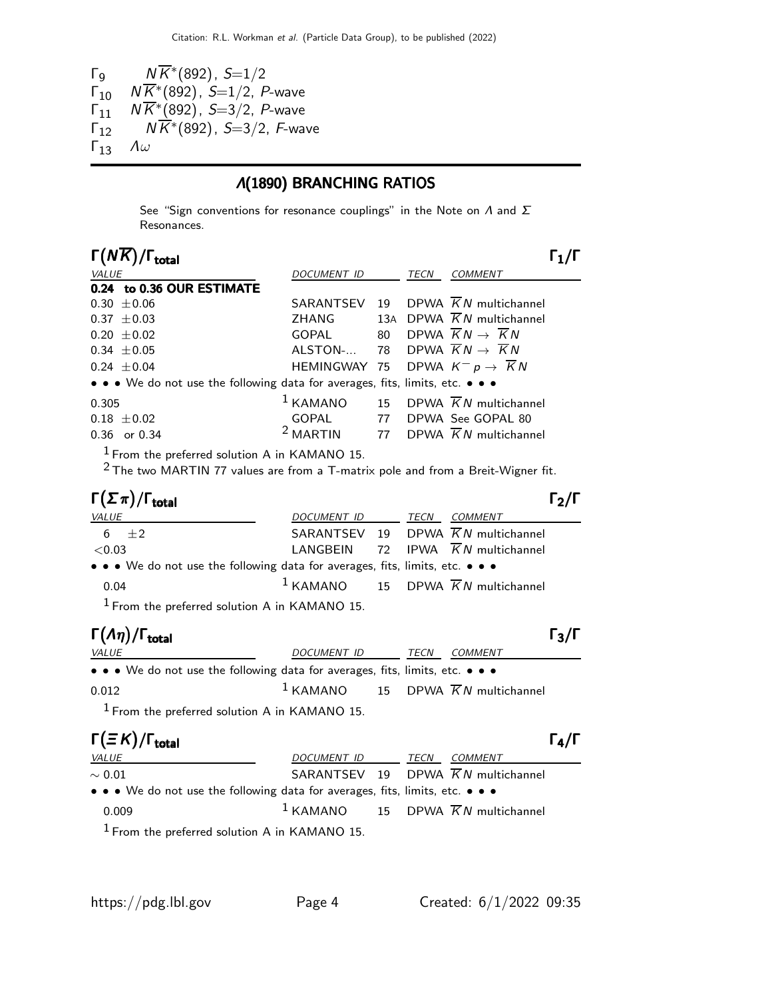Γ<sub>9</sub>  $N\overline{K}$ <sup>\*</sup>(892), *S*=1/2  $\overline{K}_{10}$   $N\overline{K}^{*}(892)$ ,  $S=1/2$ , P-wave  $\sqrt{\frac{10}{11}}$   $N \overline{K^* (892)}$ , S=3/2, P-wave  $\overline{K}^*$   $(N\overline{K}^*(892), S=3/2, F$ -wave Γ<sup>13</sup> Λω

# Λ(1890) BRANCHING RATIOS

See "Sign conventions for resonance couplings" in the Note on  $\Lambda$  and  $\Sigma$ Resonances.

| $\Gamma(N\overline{K})/\Gamma_{\rm total}$                                                                                            |                     |    |      | $\mathsf{\Gamma}_1/\mathsf{\Gamma}$                  |
|---------------------------------------------------------------------------------------------------------------------------------------|---------------------|----|------|------------------------------------------------------|
| VALUE                                                                                                                                 | DOCUMENT ID         |    |      | TECN COMMENT                                         |
| 0.24 to 0.36 OUR ESTIMATE                                                                                                             |                     |    |      |                                                      |
| $0.30 \pm 0.06$                                                                                                                       | SARANTSEV           | 19 |      | DPWA $\overline{K}N$ multichannel                    |
| $0.37 \pm 0.03$                                                                                                                       | <b>ZHANG</b>        |    |      | 13A DPWA $\overline{K}N$ multichannel                |
| $0.20 \pm 0.02$                                                                                                                       | GOPAL               | 80 |      | DPWA $\overline{K}N \rightarrow \overline{K}N$       |
| $0.34 \pm 0.05$                                                                                                                       | ALSTON-             |    |      | 78 DPWA $\overline{K}N \rightarrow \overline{K}N$    |
| $0.24 \pm 0.04$                                                                                                                       |                     |    |      | HEMINGWAY 75 DPWA $K^- p \rightarrow \overline{K} N$ |
| • • • We do not use the following data for averages, fits, limits, etc. • • •                                                         |                     |    |      |                                                      |
| 0.305                                                                                                                                 | $1$ KAMANO          |    |      | 15 DPWA $\overline{K}N$ multichannel                 |
| $0.18 \pm 0.02$                                                                                                                       | GOPAL               |    |      | 77 DPWA See GOPAL 80                                 |
| 0.36 or 0.34                                                                                                                          | $2$ MARTIN          |    |      | 77 DPWA $\overline{K}N$ multichannel                 |
| $1$ From the preferred solution A in KAMANO 15.<br>$2$ The two MARTIN 77 values are from a T-matrix pole and from a Breit-Wigner fit. |                     |    |      |                                                      |
|                                                                                                                                       |                     |    |      |                                                      |
| $\Gamma(\Sigma \pi)/\Gamma_{\rm total}$                                                                                               |                     |    |      | $\Gamma_2/\Gamma$                                    |
| VALUE                                                                                                                                 | DOCUMENT ID         |    | TECN | <b>COMMENT</b>                                       |
| ±2<br>6                                                                                                                               | SARANTSEV 19        |    |      | DPWA $\overline{K}N$ multichannel                    |
| < 0.03                                                                                                                                | LANGBEIN            |    |      | 72 IPWA $\overline{K}N$ multichannel                 |
| • • • We do not use the following data for averages, fits, limits, etc. • • •                                                         |                     |    |      |                                                      |
| 0.04                                                                                                                                  |                     |    |      | $1$ KAMANO 15 DPWA $\overline{K}N$ multichannel      |
| <sup>1</sup> From the preferred solution A in KAMANO 15.                                                                              |                     |    |      |                                                      |
| $\Gamma(\Lambda \eta)/\Gamma_{\rm total}$                                                                                             |                     |    |      | $\Gamma_3/\Gamma$                                    |
| VALUE                                                                                                                                 | DO <u>CUMENT ID</u> |    |      | TECN COMMENT                                         |
| • • • We do not use the following data for averages, fits, limits, etc. • • •                                                         |                     |    |      |                                                      |
| 0.012                                                                                                                                 | $1$ KAMANO          |    |      | 15 DPWA $\overline{K}N$ multichannel                 |

| $\Gamma(\equiv K)/\Gamma_{\rm total}$                                         |                  |  |                                                 | $\Gamma_4/\Gamma$ |
|-------------------------------------------------------------------------------|------------------|--|-------------------------------------------------|-------------------|
| <i>VALUE</i>                                                                  | DOCUMENT ID TECN |  | COMMENT                                         |                   |
| $\sim 0.01$                                                                   |                  |  | SARANTSEV 19 DPWA $\overline{K}N$ multichannel  |                   |
| • • • We do not use the following data for averages, fits, limits, etc. • • • |                  |  |                                                 |                   |
| 0.009                                                                         |                  |  | $1$ KAMANO 15 DPWA $\overline{K}N$ multichannel |                   |
| $1$ From the preferred solution A in KAMANO 15.                               |                  |  |                                                 |                   |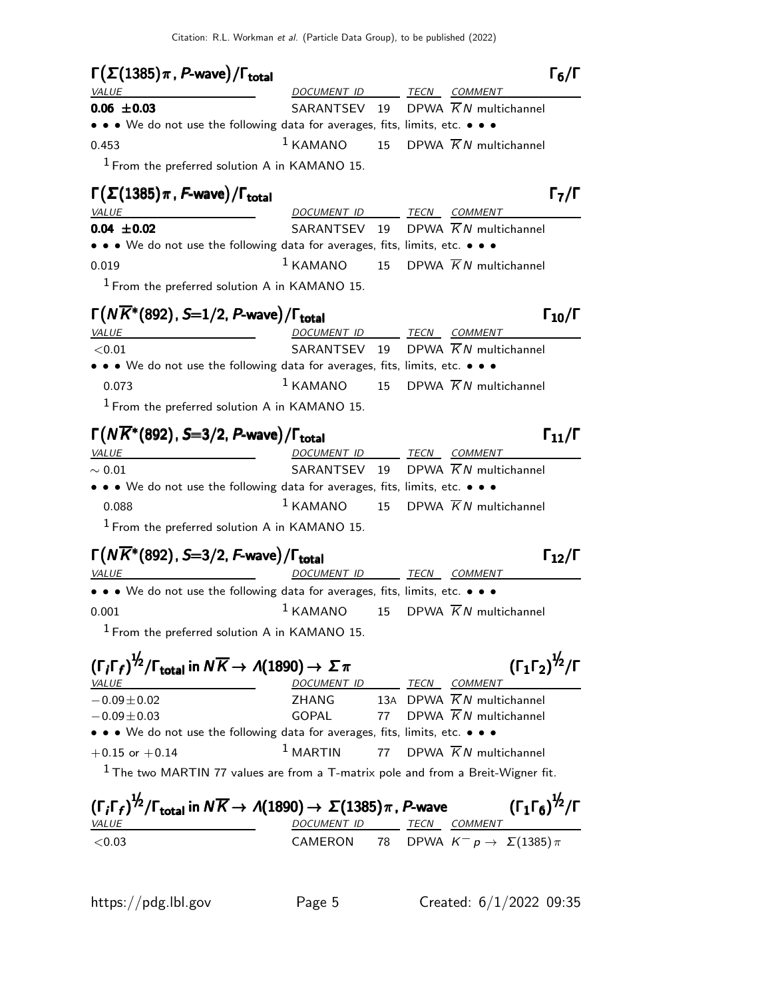| $\Gamma(\Sigma(1385)\pi, P$ -wave)/ $\Gamma_{\text{total}}$<br><b>VALUE</b>                                                | DOCUMENT ID                                                                                                           |    | $\Gamma_6/\Gamma$<br>TECN COMMENT                                                         |
|----------------------------------------------------------------------------------------------------------------------------|-----------------------------------------------------------------------------------------------------------------------|----|-------------------------------------------------------------------------------------------|
| $0.06 \pm 0.03$                                                                                                            | SARANTSEV                                                                                                             | 19 | DPWA $\overline{K}N$ multichannel                                                         |
|                                                                                                                            | • • • We do not use the following data for averages, fits, limits, etc. • • •                                         |    |                                                                                           |
| 0.453                                                                                                                      | $1$ KAMANO                                                                                                            | 15 | DPWA $\overline{K}N$ multichannel                                                         |
|                                                                                                                            | $1$ From the preferred solution A in KAMANO 15.                                                                       |    |                                                                                           |
| $\Gamma(\Sigma(1385)\pi, F$ -wave)/ $\Gamma_{\text{total}}$                                                                |                                                                                                                       |    | $\Gamma_7/\Gamma$                                                                         |
| <i>VALUE</i>                                                                                                               | DOCUMENT ID                                                                                                           |    | TECN COMMENT                                                                              |
| $0.04 \pm 0.02$                                                                                                            | SARANTSEV 19                                                                                                          |    | DPWA $KN$ multichannel                                                                    |
|                                                                                                                            | • • • We do not use the following data for averages, fits, limits, etc. • • •                                         |    |                                                                                           |
| 0.019                                                                                                                      | $1$ KAMANO                                                                                                            | 15 | DPWA $\overline{K}N$ multichannel                                                         |
|                                                                                                                            | $1$ From the preferred solution A in KAMANO 15.                                                                       |    |                                                                                           |
| $\Gamma(N\overline{K}^*(892), S=1/2, P$ -wave)/ $\Gamma_{\rm total}$                                                       |                                                                                                                       |    | $\Gamma_{10}/\Gamma$                                                                      |
| VALUE                                                                                                                      | DOCUMENT ID                                                                                                           |    | TECN COMMENT                                                                              |
| ${<}0.01$                                                                                                                  | SARANTSEV                                                                                                             | 19 | DPWA $\overline{K}N$ multichannel                                                         |
|                                                                                                                            | • • • We do not use the following data for averages, fits, limits, etc. • • •                                         |    |                                                                                           |
| 0.073                                                                                                                      | $1$ KAMANO                                                                                                            | 15 | DPWA $\overline{K}N$ multichannel                                                         |
|                                                                                                                            | <sup>1</sup> From the preferred solution A in KAMANO 15.                                                              |    |                                                                                           |
| $\Gamma(N\overline{K}^*(892), S=3/2, P$ -wave)/ $\Gamma_{\rm total}$                                                       |                                                                                                                       |    | $\Gamma_{11}/\Gamma$                                                                      |
| VALUE                                                                                                                      | DOCUMENT ID                                                                                                           |    | TECN COMMENT                                                                              |
| $\sim 0.01$                                                                                                                | SARANTSEV 19                                                                                                          |    | DPWA $\overline{K}N$ multichannel                                                         |
|                                                                                                                            | • • • We do not use the following data for averages, fits, limits, etc. • • •                                         |    |                                                                                           |
| 0.088                                                                                                                      | $1$ KAMANO                                                                                                            | 15 | DPWA $\overline{K}N$ multichannel                                                         |
|                                                                                                                            | <sup>1</sup> From the preferred solution A in KAMANO 15.                                                              |    |                                                                                           |
|                                                                                                                            |                                                                                                                       |    | $\Gamma_{12}/\Gamma$                                                                      |
| $\Gamma(N\overline{K}^*(892)$ , S=3/2, F-wave)/ $\Gamma_{\rm total}$<br><i>VALUE</i>                                       | DOCUMENT ID                                                                                                           |    | TECN COMMENT                                                                              |
|                                                                                                                            | • • • We do not use the following data for averages, fits, limits, etc. • • •                                         |    |                                                                                           |
| 0.001                                                                                                                      | $1$ KAMANO                                                                                                            | 15 | DPWA $\overline{K}N$ multichannel                                                         |
|                                                                                                                            |                                                                                                                       |    |                                                                                           |
|                                                                                                                            | <sup>1</sup> From the preferred solution A in KAMANO 15.                                                              |    |                                                                                           |
| $(\Gamma_i \Gamma_f)^{\frac{1}{2}} / \Gamma_{\text{total}}$ in $N \overline{K} \rightarrow A(1890) \rightarrow \Sigma \pi$ |                                                                                                                       |    | $(\Gamma_1 \Gamma_2)^{\frac{1}{2}} / \Gamma$                                              |
| <i>VALUE</i>                                                                                                               | DOCUMENT ID TECN COMMENT                                                                                              |    |                                                                                           |
| $-0.09 \pm 0.02$<br>$-0.09 \pm 0.03$                                                                                       | <b>ZHANG</b><br><b>GOPAL</b>                                                                                          | 77 | 13A DPWA $\overline{K}N$ multichannel<br>DPWA $\overline{K}N$ multichannel                |
|                                                                                                                            | • • • We do not use the following data for averages, fits, limits, etc. • • •                                         |    |                                                                                           |
| $+0.15$ or $+0.14$                                                                                                         | $1$ MARTIN                                                                                                            | 77 | DPWA $\overline{K}N$ multichannel                                                         |
|                                                                                                                            |                                                                                                                       |    |                                                                                           |
|                                                                                                                            |                                                                                                                       |    |                                                                                           |
| $1$ The two MARTIN 77 values are from a T-matrix pole and from a Breit-Wigner fit.                                         |                                                                                                                       |    |                                                                                           |
|                                                                                                                            | $(\Gamma_i \Gamma_f)^{1/2}/\Gamma_{\text{total}}$ in $N \overline{K} \to \Lambda(1890) \to \Sigma(1385) \pi$ , P-wave |    |                                                                                           |
| <i>VALUE</i><br>< 0.03                                                                                                     | DOCUMENT ID TECN COMMENT<br>CAMERON                                                                                   | 78 | $({\Gamma_1 \Gamma_6})^{\frac{1}{2}}/{\Gamma}$<br>DPWA $K^ p \rightarrow \Sigma(1385)\pi$ |